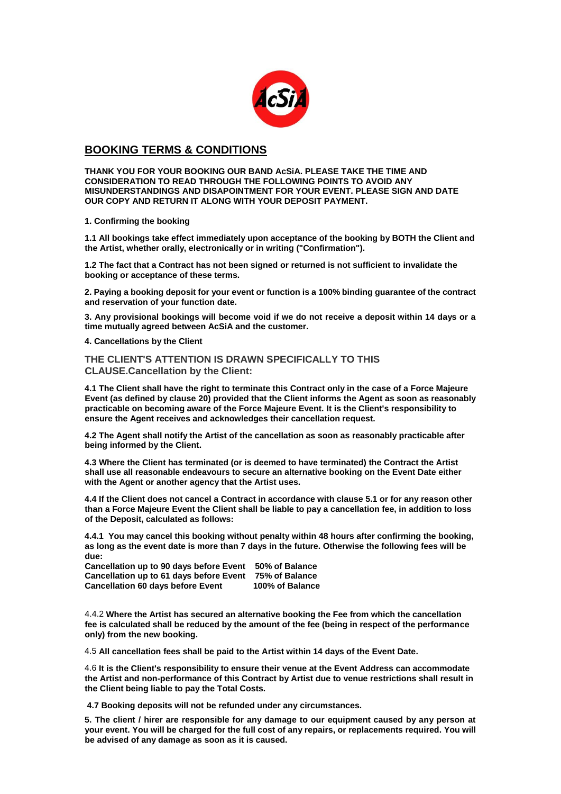

## **BOOKING TERMS & CONDITIONS**

**THANK YOU FOR YOUR BOOKING OUR BAND AcSiA. PLEASE TAKE THE TIME AND CONSIDERATION TO READ THROUGH THE FOLLOWING POINTS TO AVOID ANY MISUNDERSTANDINGS AND DISAPOINTMENT FOR YOUR EVENT. PLEASE SIGN AND DATE OUR COPY AND RETURN IT ALONG WITH YOUR DEPOSIT PAYMENT.**

**1. Confirming the booking**

**1.1 All bookings take effect immediately upon acceptance of the booking by BOTH the Client and the Artist, whether orally, electronically or in writing ("Confirmation").**

**1.2 The fact that a Contract has not been signed or returned is not sufficient to invalidate the booking or acceptance of these terms.**

**2. Paying a booking deposit for your event or function is a 100% binding guarantee of the contract and reservation of your function date.** 

**3. Any provisional bookings will become void if we do not receive a deposit within 14 days or a time mutually agreed between AcSiA and the customer.**

**4. Cancellations by the Client**

**THE CLIENT'S ATTENTION IS DRAWN SPECIFICALLY TO THIS CLAUSE.Cancellation by the Client:**

**4.1 The Client shall have the right to terminate this Contract only in the case of a Force Majeure Event (as defined by clause 20) provided that the Client informs the Agent as soon as reasonably practicable on becoming aware of the Force Majeure Event. It is the Client's responsibility to ensure the Agent receives and acknowledges their cancellation request.**

**4.2 The Agent shall notify the Artist of the cancellation as soon as reasonably practicable after being informed by the Client.**

**4.3 Where the Client has terminated (or is deemed to have terminated) the Contract the Artist shall use all reasonable endeavours to secure an alternative booking on the Event Date either with the Agent or another agency that the Artist uses.**

**4.4 If the Client does not cancel a Contract in accordance with clause 5.1 or for any reason other than a Force Majeure Event the Client shall be liable to pay a cancellation fee, in addition to loss of the Deposit, calculated as follows:**

**4.4.1 You may cancel this booking without penalty within 48 hours after confirming the booking, as long as the event date is more than 7 days in the future. Otherwise the following fees will be due:**

| <b>Cancellation up to 90 days before Event</b> | 50% of Balance  |
|------------------------------------------------|-----------------|
| <b>Cancellation up to 61 days before Event</b> | 75% of Balance  |
| <b>Cancellation 60 days before Event</b>       | 100% of Balance |

4.4.2 **Where the Artist has secured an alternative booking the Fee from which the cancellation fee is calculated shall be reduced by the amount of the fee (being in respect of the performance only) from the new booking.**

4.5 **All cancellation fees shall be paid to the Artist within 14 days of the Event Date.**

4.6 **It is the Client's responsibility to ensure their venue at the Event Address can accommodate the Artist and non-performance of this Contract by Artist due to venue restrictions shall result in the Client being liable to pay the Total Costs.**

**4.7 Booking deposits will not be refunded under any circumstances.** 

**5. The client / hirer are responsible for any damage to our equipment caused by any person at your event. You will be charged for the full cost of any repairs, or replacements required. You will be advised of any damage as soon as it is caused.**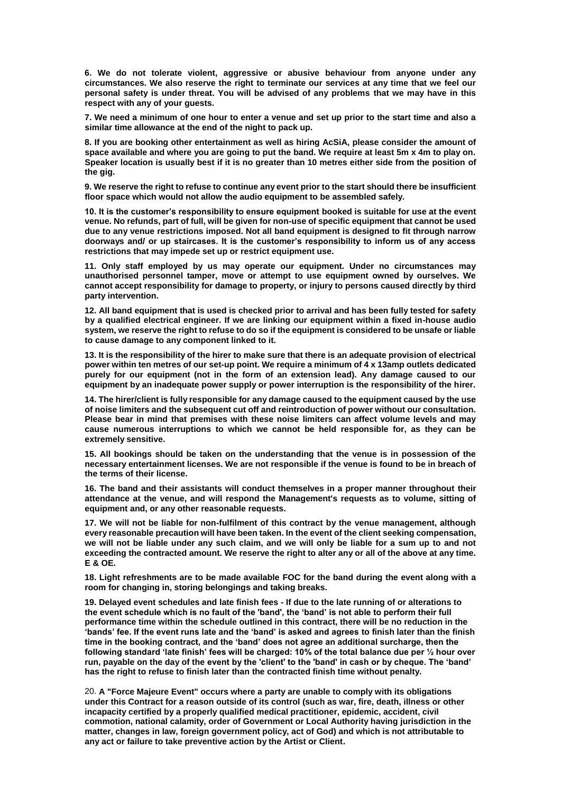**6. We do not tolerate violent, aggressive or abusive behaviour from anyone under any circumstances. We also reserve the right to terminate our services at any time that we feel our personal safety is under threat. You will be advised of any problems that we may have in this respect with any of your guests.** 

**7. We need a minimum of one hour to enter a venue and set up prior to the start time and also a similar time allowance at the end of the night to pack up.** 

**8. If you are booking other entertainment as well as hiring AcSiA, please consider the amount of space available and where you are going to put the band. We require at least 5m x 4m to play on. Speaker location is usually best if it is no greater than 10 metres either side from the position of the gig.** 

**9. We reserve the right to refuse to continue any event prior to the start should there be insufficient floor space which would not allow the audio equipment to be assembled safely.** 

**10. It is the customer's responsibility to ensure equipment booked is suitable for use at the event venue. No refunds, part of full, will be given for non-use of specific equipment that cannot be used due to any venue restrictions imposed. Not all band equipment is designed to fit through narrow doorways and/ or up staircases. It is the customer's responsibility to inform us of any access restrictions that may impede set up or restrict equipment use.** 

**11. Only staff employed by us may operate our equipment. Under no circumstances may unauthorised personnel tamper, move or attempt to use equipment owned by ourselves. We cannot accept responsibility for damage to property, or injury to persons caused directly by third party intervention.** 

**12. All band equipment that is used is checked prior to arrival and has been fully tested for safety by a qualified electrical engineer. If we are linking our equipment within a fixed in-house audio system, we reserve the right to refuse to do so if the equipment is considered to be unsafe or liable to cause damage to any component linked to it.** 

**13. It is the responsibility of the hirer to make sure that there is an adequate provision of electrical power within ten metres of our set-up point. We require a minimum of 4 x 13amp outlets dedicated purely for our equipment (not in the form of an extension lead). Any damage caused to our equipment by an inadequate power supply or power interruption is the responsibility of the hirer.** 

**14. The hirer/client is fully responsible for any damage caused to the equipment caused by the use of noise limiters and the subsequent cut off and reintroduction of power without our consultation. Please bear in mind that premises with these noise limiters can affect volume levels and may cause numerous interruptions to which we cannot be held responsible for, as they can be extremely sensitive.**

**15. All bookings should be taken on the understanding that the venue is in possession of the necessary entertainment licenses. We are not responsible if the venue is found to be in breach of the terms of their license.** 

**16. The band and their assistants will conduct themselves in a proper manner throughout their attendance at the venue, and will respond the Management's requests as to volume, sitting of equipment and, or any other reasonable requests.** 

**17. We will not be liable for non-fulfilment of this contract by the venue management, although every reasonable precaution will have been taken. In the event of the client seeking compensation, we will not be liable under any such claim, and we will only be liable for a sum up to and not exceeding the contracted amount. We reserve the right to alter any or all of the above at any time. E & OE.** 

**18. Light refreshments are to be made available FOC for the band during the event along with a room for changing in, storing belongings and taking breaks.**

**19. Delayed event schedules and late finish fees - If due to the late running of or alterations to the event schedule which is no fault of the 'band', the 'band' is not able to perform their full performance time within the schedule outlined in this contract, there will be no reduction in the 'bands' fee. If the event runs late and the 'band' is asked and agrees to finish later than the finish time in the booking contract, and the 'band' does not agree an additional surcharge, then the following standard 'late finish' fees will be charged: 10% of the total balance due per ½ hour over run, payable on the day of the event by the 'client' to the 'band' in cash or by cheque. The 'band' has the right to refuse to finish later than the contracted finish time without penalty.**

20. **A "Force Majeure Event" occurs where a party are unable to comply with its obligations under this Contract for a reason outside of its control (such as war, fire, death, illness or other incapacity certified by a properly qualified medical practitioner, epidemic, accident, civil commotion, national calamity, order of Government or Local Authority having jurisdiction in the matter, changes in law, foreign government policy, act of God) and which is not attributable to any act or failure to take preventive action by the Artist or Client.**